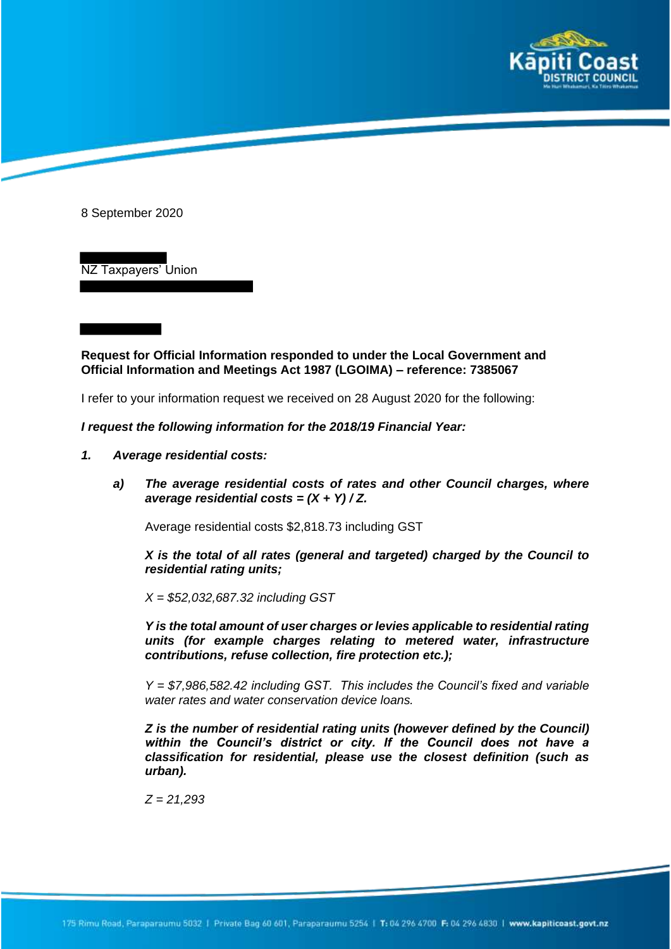

8 September 2020

NZ Taxpayers' Union

**Request for Official Information responded to under the Local Government and Official Information and Meetings Act 1987 (LGOIMA) – reference: 7385067**

I refer to your information request we received on 28 August 2020 for the following:

## *I request the following information for the 2018/19 Financial Year:*

- *1. Average residential costs:*
	- *a) The average residential costs of rates and other Council charges, where average residential costs = (X + Y) / Z.*

Average residential costs \$2,818.73 including GST

*X is the total of all rates (general and targeted) charged by the Council to residential rating units;*

*X = \$52,032,687.32 including GST*

*Y is the total amount of user charges or levies applicable to residential rating units (for example charges relating to metered water, infrastructure contributions, refuse collection, fire protection etc.);*

*Y = \$7,986,582.42 including GST. This includes the Council's fixed and variable water rates and water conservation device loans.*

*Z is the number of residential rating units (however defined by the Council) within the Council's district or city. If the Council does not have a classification for residential, please use the closest definition (such as urban).*

*Z = 21,293*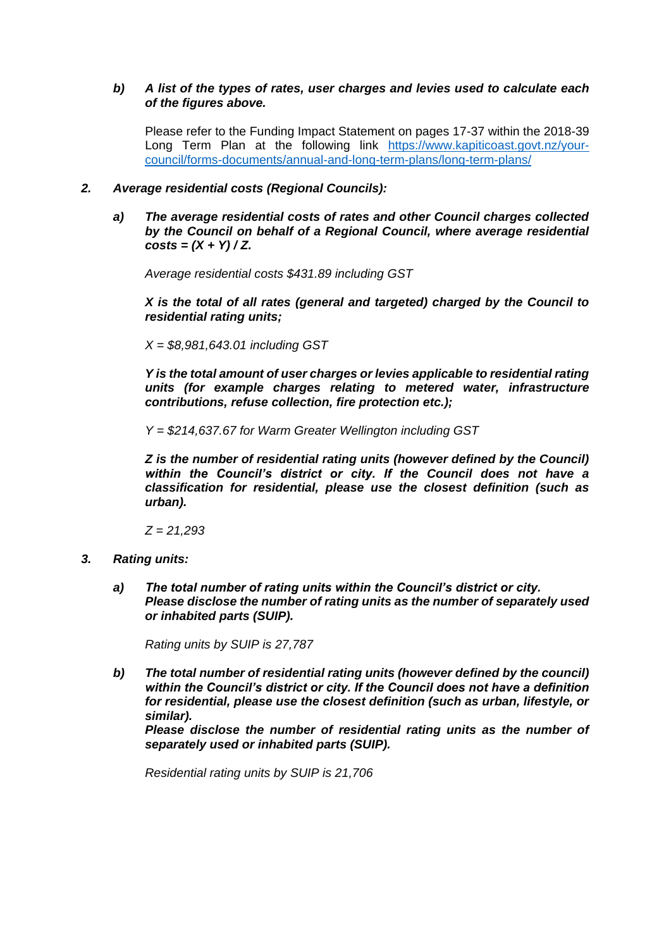## *b) A list of the types of rates, user charges and levies used to calculate each of the figures above.*

Please refer to the Funding Impact Statement on pages 17-37 within the 2018-39 Long Term Plan at the following link https://www.kapiticoast.govt.nz/yourcouncil/forms-documents/annual-and-long-term-plans/long-term-plans/

## *2. Average residential costs (Regional Councils):*

*a) The average residential costs of rates and other Council charges collected by the Council on behalf of a Regional Council, where average residential*   $costs = (X + Y)/Z$ .

*Average residential costs \$431.89 including GST* 

*X is the total of all rates (general and targeted) charged by the Council to residential rating units;*

*X = \$8,981,643.01 including GST*

*Y is the total amount of user charges or levies applicable to residential rating units (for example charges relating to metered water, infrastructure contributions, refuse collection, fire protection etc.);* 

*Y = \$214,637.67 for Warm Greater Wellington including GST*

*Z is the number of residential rating units (however defined by the Council) within the Council's district or city. If the Council does not have a classification for residential, please use the closest definition (such as urban).*

*Z = 21,293*

- *3. Rating units:*
	- *a) The total number of rating units within the Council's district or city. Please disclose the number of rating units as the number of separately used or inhabited parts (SUIP).*

*Rating units by SUIP is 27,787*

*b) The total number of residential rating units (however defined by the council) within the Council's district or city. If the Council does not have a definition for residential, please use the closest definition (such as urban, lifestyle, or similar).*

*Please disclose the number of residential rating units as the number of separately used or inhabited parts (SUIP).*

*Residential rating units by SUIP is 21,706*